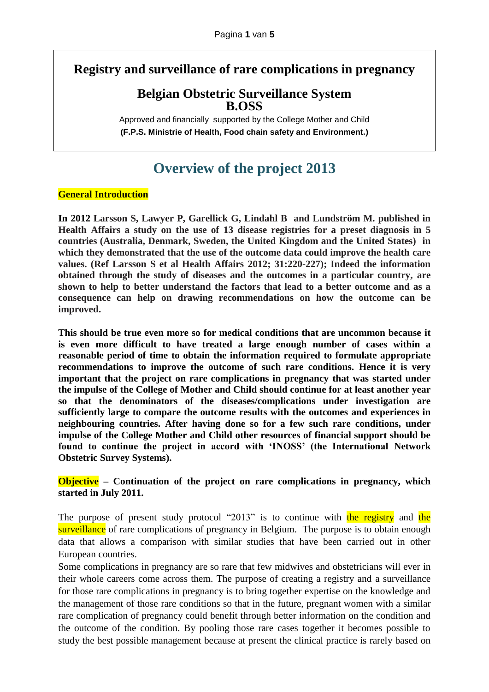**Registry and surveillance of rare complications in pregnancy**

## **Belgian Obstetric Surveillance System B.OSS**

Approved and financially supported by the College Mother and Child **(F.P.S. Ministrie of Health, Food chain safety and Environment.)**

# **Overview of the project 2013**

## **General Introduction**

**In 2012 Larsson S, Lawyer P, Garellick G, Lindahl B and Lundström M. published in Health Affairs a study on the use of 13 disease registries for a preset diagnosis in 5 countries (Australia, Denmark, Sweden, the United Kingdom and the United States) in which they demonstrated that the use of the outcome data could improve the health care values. (Ref Larsson S et al Health Affairs 2012; 31:220-227); Indeed the information obtained through the study of diseases and the outcomes in a particular country, are shown to help to better understand the factors that lead to a better outcome and as a consequence can help on drawing recommendations on how the outcome can be improved.**

**This should be true even more so for medical conditions that are uncommon because it is even more difficult to have treated a large enough number of cases within a reasonable period of time to obtain the information required to formulate appropriate recommendations to improve the outcome of such rare conditions. Hence it is very important that the project on rare complications in pregnancy that was started under the impulse of the College of Mother and Child should continue for at least another year so that the denominators of the diseases/complications under investigation are sufficiently large to compare the outcome results with the outcomes and experiences in neighbouring countries. After having done so for a few such rare conditions, under impulse of the College Mother and Child other resources of financial support should be found to continue the project in accord with 'INOSS' (the International Network Obstetric Survey Systems).** 

## **Objective – Continuation of the project on rare complications in pregnancy, which started in July 2011.**

The purpose of present study protocol "2013" is to continue with the registry and the surveillance of rare complications of pregnancy in Belgium. The purpose is to obtain enough data that allows a comparison with similar studies that have been carried out in other European countries.

Some complications in pregnancy are so rare that few midwives and obstetricians will ever in their whole careers come across them. The purpose of creating a registry and a surveillance for those rare complications in pregnancy is to bring together expertise on the knowledge and the management of those rare conditions so that in the future, pregnant women with a similar rare complication of pregnancy could benefit through better information on the condition and the outcome of the condition. By pooling those rare cases together it becomes possible to study the best possible management because at present the clinical practice is rarely based on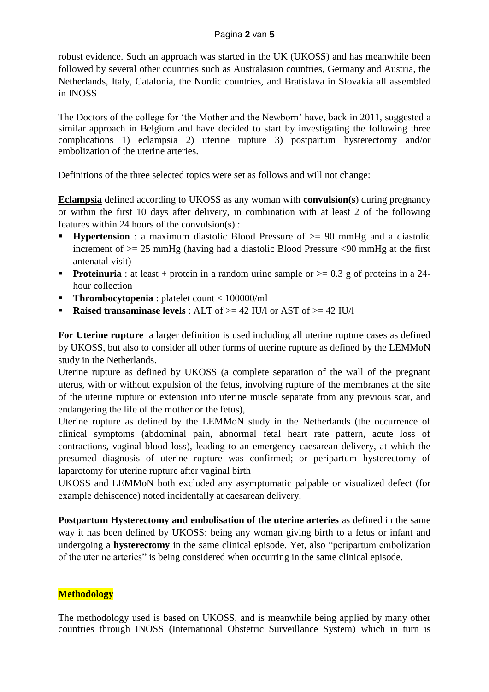#### Pagina **2** van **5**

robust evidence. Such an approach was started in the UK (UKOSS) and has meanwhile been followed by several other countries such as Australasion countries, Germany and Austria, the Netherlands, Italy, Catalonia, the Nordic countries, and Bratislava in Slovakia all assembled in INOSS

The Doctors of the college for 'the Mother and the Newborn' have, back in 2011, suggested a similar approach in Belgium and have decided to start by investigating the following three complications 1) eclampsia 2) uterine rupture 3) postpartum hysterectomy and/or embolization of the uterine arteries.

Definitions of the three selected topics were set as follows and will not change:

**Eclampsia** defined according to UKOSS as any woman with **convulsion(s**) during pregnancy or within the first 10 days after delivery, in combination with at least 2 of the following features within 24 hours of the convulsion(s) :

- **Hypertension** : a maximum diastolic Blood Pressure of  $\geq$  90 mmHg and a diastolic increment of  $\geq$  25 mmHg (having had a diastolic Blood Pressure  $\leq$ 90 mmHg at the first antenatal visit)
- **Proteinuria**: at least + protein in a random urine sample or  $>= 0.3$  g of proteins in a 24hour collection
- **Thrombocytopenia** : platelet count < 100000/ml
- **Raised transaminase levels** : ALT of  $>= 42$  IU/l or AST of  $>= 42$  IU/l

**For Uterine rupture** a larger definition is used including all uterine rupture cases as defined by UKOSS, but also to consider all other forms of uterine rupture as defined by the LEMMoN study in the Netherlands.

Uterine rupture as defined by UKOSS (a complete separation of the wall of the pregnant uterus, with or without expulsion of the fetus, involving rupture of the membranes at the site of the uterine rupture or extension into uterine muscle separate from any previous scar, and endangering the life of the mother or the fetus),

Uterine rupture as defined by the LEMMoN study in the Netherlands (the occurrence of clinical symptoms (abdominal pain, abnormal fetal heart rate pattern, acute loss of contractions, vaginal blood loss), leading to an emergency caesarean delivery, at which the presumed diagnosis of uterine rupture was confirmed; or peripartum hysterectomy of laparotomy for uterine rupture after vaginal birth

UKOSS and LEMMoN both excluded any asymptomatic palpable or visualized defect (for example dehiscence) noted incidentally at caesarean delivery.

**Postpartum Hysterectomy and embolisation of the uterine arteries** as defined in the same way it has been defined by UKOSS: being any woman giving birth to a fetus or infant and undergoing a **hysterectomy** in the same clinical episode. Yet, also "peripartum embolization of the uterine arteries" is being considered when occurring in the same clinical episode.

## **Methodology**

The methodology used is based on UKOSS, and is meanwhile being applied by many other countries through INOSS (International Obstetric Surveillance System) which in turn is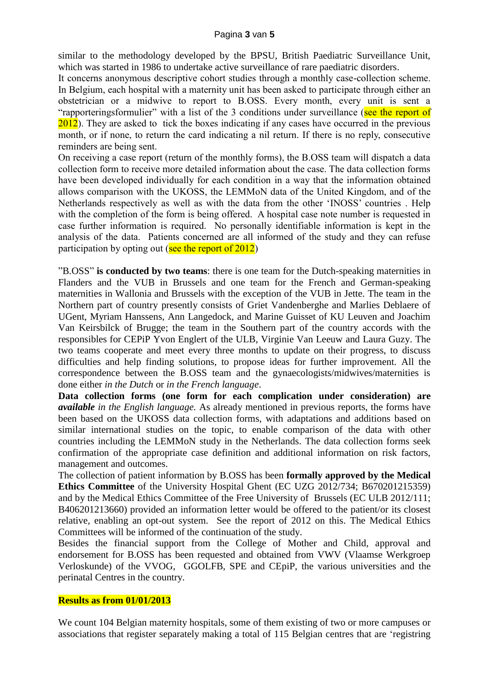similar to the methodology developed by the BPSU, British Paediatric Surveillance Unit, which was started in 1986 to undertake active surveillance of rare paediatric disorders.

It concerns anonymous descriptive cohort studies through a monthly case-collection scheme. In Belgium, each hospital with a maternity unit has been asked to participate through either an obstetrician or a midwive to report to B.OSS. Every month, every unit is sent a "rapporteringsformulier" with a list of the 3 conditions under surveillance (see the report of 2012). They are asked to tick the boxes indicating if any cases have occurred in the previous month, or if none, to return the card indicating a nil return. If there is no reply, consecutive reminders are being sent.

On receiving a case report (return of the monthly forms), the B.OSS team will dispatch a data collection form to receive more detailed information about the case. The data collection forms have been developed individually for each condition in a way that the information obtained allows comparison with the UKOSS, the LEMMoN data of the United Kingdom, and of the Netherlands respectively as well as with the data from the other 'INOSS' countries . Help with the completion of the form is being offered. A hospital case note number is requested in case further information is required. No personally identifiable information is kept in the analysis of the data. Patients concerned are all informed of the study and they can refuse participation by opting out (see the report of  $2012$ )

"B.OSS" **is conducted by two teams**: there is one team for the Dutch-speaking maternities in Flanders and the VUB in Brussels and one team for the French and German-speaking maternities in Wallonia and Brussels with the exception of the VUB in Jette. The team in the Northern part of country presently consists of Griet Vandenberghe and Marlies Deblaere of UGent, Myriam Hanssens, Ann Langedock, and Marine Guisset of KU Leuven and Joachim Van Keirsbilck of Brugge; the team in the Southern part of the country accords with the responsibles for CEPiP Yvon Englert of the ULB, Virginie Van Leeuw and Laura Guzy. The two teams cooperate and meet every three months to update on their progress, to discuss difficulties and help finding solutions, to propose ideas for further improvement. All the correspondence between the B.OSS team and the gynaecologists/midwives/maternities is done either *in the Dutch* or *in the French language*.

**Data collection forms (one form for each complication under consideration) are**  *available in the English language.* As already mentioned in previous reports, the forms have been based on the UKOSS data collection forms, with adaptations and additions based on similar international studies on the topic, to enable comparison of the data with other countries including the LEMMoN study in the Netherlands. The data collection forms seek confirmation of the appropriate case definition and additional information on risk factors, management and outcomes.

The collection of patient information by B.OSS has been **formally approved by the Medical Ethics Committee** of the University Hospital Ghent (EC UZG 2012/734; B670201215359) and by the Medical Ethics Committee of the Free University of Brussels (EC ULB 2012/111; B406201213660) provided an information letter would be offered to the patient/or its closest relative, enabling an opt-out system. See the report of 2012 on this. The Medical Ethics Committees will be informed of the continuation of the study.

Besides the financial support from the College of Mother and Child, approval and endorsement for B.OSS has been requested and obtained from VWV (Vlaamse Werkgroep Verloskunde) of the VVOG, GGOLFB, SPE and CEpiP, the various universities and the perinatal Centres in the country.

#### **Results as from 01/01/2013**

We count 104 Belgian maternity hospitals, some of them existing of two or more campuses or associations that register separately making a total of 115 Belgian centres that are 'registring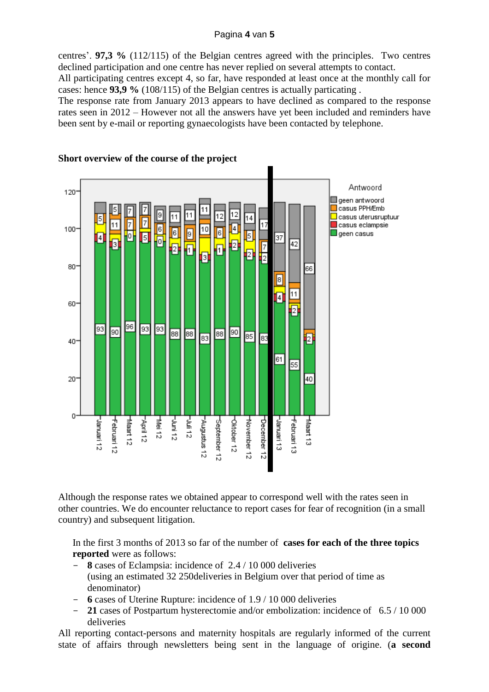#### Pagina **4** van **5**

centres'. **97,3 %** (112/115) of the Belgian centres agreed with the principles. Two centres declined participation and one centre has never replied on several attempts to contact.

All participating centres except 4, so far, have responded at least once at the monthly call for cases: hence **93,9 %** (108/115) of the Belgian centres is actually particating .

The response rate from January 2013 appears to have declined as compared to the response rates seen in 2012 – However not all the answers have yet been included and reminders have been sent by e-mail or reporting gynaecologists have been contacted by telephone.



## **Short overview of the course of the project**

Although the response rates we obtained appear to correspond well with the rates seen in other countries. We do encounter reluctance to report cases for fear of recognition (in a small country) and subsequent litigation.

In the first 3 months of 2013 so far of the number of **cases for each of the three topics reported** were as follows:

- **8** cases of Eclampsia: incidence of 2.4 / 10 000 deliveries (using an estimated 32 250deliveries in Belgium over that period of time as denominator)
- **6** cases of Uterine Rupture: incidence of 1.9 / 10 000 deliveries
- **21** cases of Postpartum hysterectomie and/or embolization: incidence of 6.5 / 10 000 deliveries

All reporting contact-persons and maternity hospitals are regularly informed of the current state of affairs through newsletters being sent in the language of origine. (**a second**